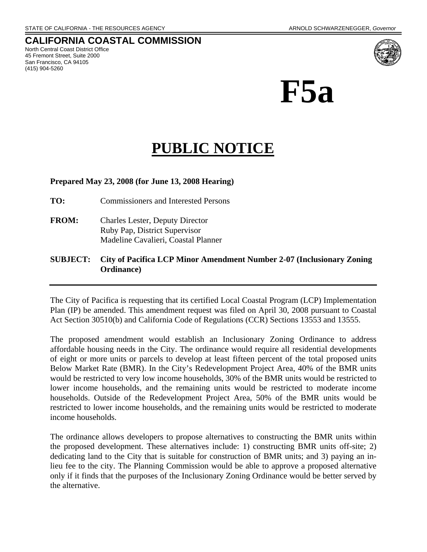### **CALIFORNIA COASTAL COMMISSION**  North Central Coast District Office

45 Fremont Street, Suite 2000 San Francisco, CA 94105 (415) 904-5260



# **PUBLIC NOTICE**

## **Prepared May 23, 2008 (for June 13, 2008 Hearing)**

- **TO:** Commissioners and Interested Persons
- **FROM:** Charles Lester, Deputy Director Ruby Pap, District Supervisor Madeline Cavalieri, Coastal Planner

# **SUBJECT: City of Pacifica LCP Minor Amendment Number 2-07 (Inclusionary Zoning Ordinance)**

The City of Pacifica is requesting that its certified Local Coastal Program (LCP) Implementation Plan (IP) be amended. This amendment request was filed on April 30, 2008 pursuant to Coastal Act Section 30510(b) and California Code of Regulations (CCR) Sections 13553 and 13555.

The proposed amendment would establish an Inclusionary Zoning Ordinance to address affordable housing needs in the City. The ordinance would require all residential developments of eight or more units or parcels to develop at least fifteen percent of the total proposed units Below Market Rate (BMR). In the City's Redevelopment Project Area, 40% of the BMR units would be restricted to very low income households, 30% of the BMR units would be restricted to lower income households, and the remaining units would be restricted to moderate income households. Outside of the Redevelopment Project Area, 50% of the BMR units would be restricted to lower income households, and the remaining units would be restricted to moderate income households.

The ordinance allows developers to propose alternatives to constructing the BMR units within the proposed development. These alternatives include: 1) constructing BMR units off-site; 2) dedicating land to the City that is suitable for construction of BMR units; and 3) paying an inlieu fee to the city. The Planning Commission would be able to approve a proposed alternative only if it finds that the purposes of the Inclusionary Zoning Ordinance would be better served by the alternative.